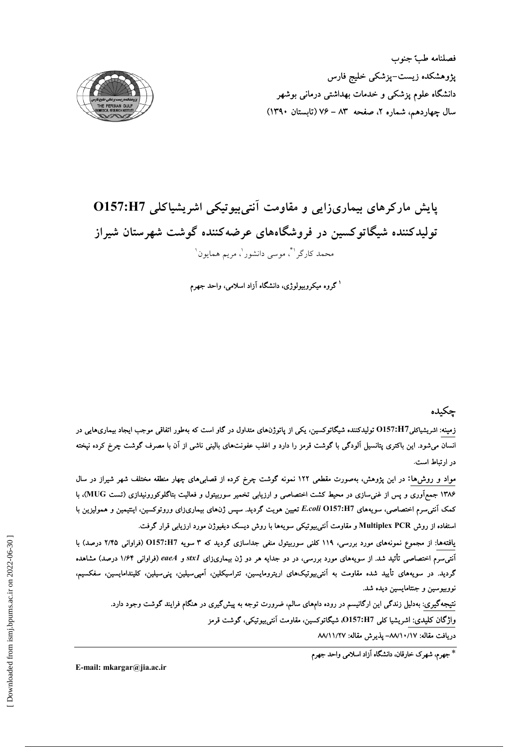فصلنامه طب جنوب پژوهشکده زیست–پزشکی خلیج فارس دانشگاه علوم پزشکی و خدمات بهداشتی درمانی بوشهر سال چهاردهم، شماره ۲، صفحه ۸۳ – ۷۶ (تابستان ۱۳۹۰)



# پایش مارکرهای بیماریزایی و مقاومت آنتی بیوتیکی اشریشیاکلی O157:H7 تولیدکننده شیگاتوکسین در فروشگاههای عرضهکننده گوشت شهرستان شیراز محمد کارگراڻُ، موسى دانشور ٰ، مريم همايون ٰ

<sup>۱</sup> گروه میکروبیولوژی، دانشگاه آزاد اسلامی، واحد جهرم

چكىدە

زمینه: اشریشیاکلیO157:H7 تولیدکننده شیگاتوکسین، یکی از پاتوژنهای متداول در گاو است که بهطور اتفاقی موجب ایجاد بیماریهایی در انسان میشود. این باکتری پتانسیل آلودگی با گوشت قرمز را دارد و اغلب عفونتهای بالینی ناشی از آن با مصرف گوشت چرخ کرده نپخته در ارتباط است.

مواد و روش۵ا: در این پژوهش، بهصورت مقطعی ۱۲۲ نمونه گوشت چرخ کرده از قصابی۵ای چهار منطقه مختلف شهر شیراز در سال ۱۳۸۶ جمع[وری و پس از غنی $\cdot$ ازی در محیط کشت اختصاصی و ارزیابی تخمیر سوربیتول و فعالیت بتاگلوکورونیدازی (تست MUG)، با کمک آنتی سرم اختصاصی، سویههای E.coli O157:H7 تعیین هویت گردید. سپس ژنهای بیماریزای وروتوکسین، اینتیمین و همولیزین با استفاده از روش Multiplex PCR و مقاومت آنتی بیوتیکی سویهها با روش دیسک دیفیوژن مورد ارزیابی قرار گرفت.

یافتهها: از مجموع نمونههای مورد بررسی، ۱۱۹ کلنی سوربیتول منفی جداسازی گردید که ۳ سویه O157:H7 (فراوانی ۲/۴۵ درصد) با آنتی سرم اختصاصی تأثید شد. از سویههای مورد بررسی، در دو جدایه هر دو ژن بیماریزای stxl و eaeA (فراوانی ۱/۶۴ درصد) مشاهده گردید. در سویههای تأیید شده مقاومت به آنتی,بیوتیکهای اریترومایسین، تتراسیکلین، آمپیسیلین، پنیسیلین، کلیندامایسین، سفکسیم، نووبیوسین و جنتامایسین دیده شد.

نتیجهگیری: بهدلیل زندگی این ارگانیسم در روده دامهای سالم، ضرورت توجه به پیشگیری در هنگام فرایند گوشت وجود دارد. واژگان کلیدی: اشریشیا کلی O157:H7، شیگاتوکسین، مقاومت آنتی,بیوتیکی، گوشت قرمز

دريافت مقاله: ١٧/١٠/١٧هـ يذيرش مقاله: ١٨/١١/٢٧

\* جهرم، شهرک خارقان، دانشگاه آزاد اسلامی واحد جهرم

E-mail: mkargar@jia.ac.ir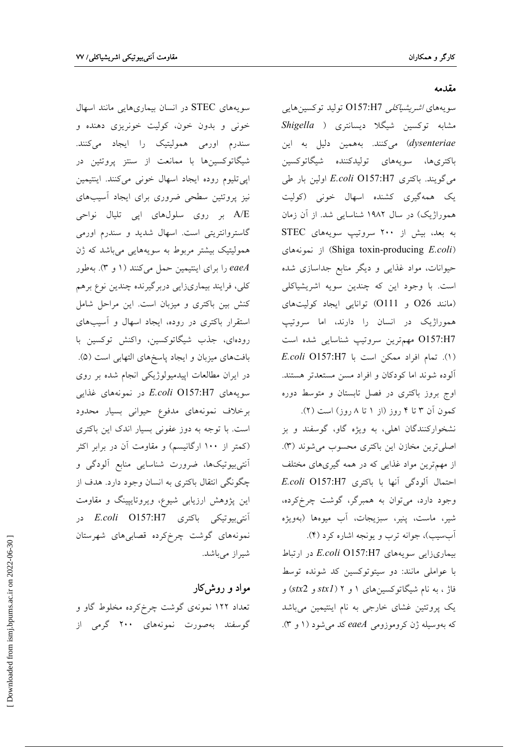#### مقدمه

سويەھاي *اشرېشياكلى O157:H7* توليد توكسين ھايى مشابه توکسین شیگلا دیسانتری ( Shigella dysenteriae) میکنند. بههمین دلیل به این باكترى ها، سويەهاى توليدكننده شيگاتوكسين می گویند. باکتری E.coli O157:H7 اولین بار طی یک همهگیری کشنده اسهال خونی (کولیت هموراژیک) در سال ۱۹۸۲ شناسایی شد. از آن زمان به بعد، بیش از ۲۰۰ سروتیپ سویههای STEC (Shiga toxin-producing E.coli) از نمونههای حیوانات، مواد غذایی و دیگر منابع جداسازی شده است. با وجود این که چندین سویه اشریشیاکلی (مانند O26 و O111) توانایی ایجاد کولیتهای هموراژیک در انسان را دارند، اما سروتیپ O157:H7 مهم ترين سروتيپ شناسايي شده است  $E. coli$  0157:H7 افراد ممكن است با) آلوده شوند اما كودكان و افراد مسن مستعدتر هستند. اوج بروز باکتری در فصل تابستان و متوسط دوره کمون آن ۳ تا ۴ روز (از ۱ تا ۸ روز) است (۲).

نشخوارکنندگان اهلی، به ویژه گاو، گوسفند و بز اصلی ترین مخازن این باکتری محسوب می شوند (۳). از مهمترین مواد غذایی که در همه گیریهای مختلف احتمال ألودگی أنها با باكترى E.coli O157:H7 وجود دارد، می توان به همبرگر، گوشت چرخکرده، شير، ماست، پنير، سبزيجات، آب ميوهها (بهويژه آبسیب)، جوانه ترب و یونجه اشاره کرد (۴).

بیماریزایی سویههای E.coli O157:H7 در ارتباط با عواملی مانند: دو سیتوتوکسین کد شونده توسط فاژ ، به نام شیگاتوکسینهای ۱ و ۲ (stx2 و stx2) و یک پروتئین غشای خارجی به نام اینتیمین میباشد که بهوسیله ژن کروموزومی eaeA کد می شود (۱ و ۳).

سویههای STEC در انسان بیماریهایی مانند اسهال خونی و بدون خون، کولیت خونریزی دهنده و سندرم اورمی همولیتیک را ایجاد میکنند. شیگاتوکسینها با ممانعت از سنتز پروتئین در ايي تليوم روده ايجاد اسهال خوني مي كنند. اينتيمين نیز پروتئین سطحی ضروری برای ایجاد أسیبهای A/E بر روی سلولهای اپی تلیال نواحی گاستروانتریتی است. اسهال شدید و سندرم اورمی همولیتیک بیشتر مربوط به سویههایی میباشد که ژن eaeA را برای اینتیمین حمل میکنند (۱ و ۳). بهطور كلي، فرايند بيماريزايي دربرگيرنده چندين نوع برهم کنش بین باکتری و میزبان است. این مراحل شامل استقرار باکتری در روده، ایجاد اسهال و آسیبهای رودهای، جذب شیگاتوکسین، واکنش توکسین با بافتهای میزبان و ایجاد پاسخهای التهابی است (۵). در ایران مطالعات اپیدمیولوژیکی انجام شده بر روی سويههاي E.coli O157:H7 در نمونههاي غذايي برخلاف نمونههای مدفوع حیوانی بسیار محدود است. با توجه به دوز عفونی بسیار اندک این باکتری (کمتر از ۱۰۰ ارگانیسم) و مقاومت آن در برابر اکثر آنتی بیوتیکها، ضرورت شناسایی منابع آلودگی و چگونگی انتقال باکتری به انسان وجود دارد. هدف از این پژوهش ارزیابی شیوع، ویروتایپینگ و مقاومت آنتى بيوتيكى باكترى E.coli O157:H7 در نمونههای گوشت چرخ کرده قصابی های شهرستان شيراز ميباشد.

# مواد و روش}کار

تعداد ۱۲۲ نمونهی گوشت چرخ کرده مخلوط گاو و گوسفند بهصورت نمونههای ۲۰۰ گرمی از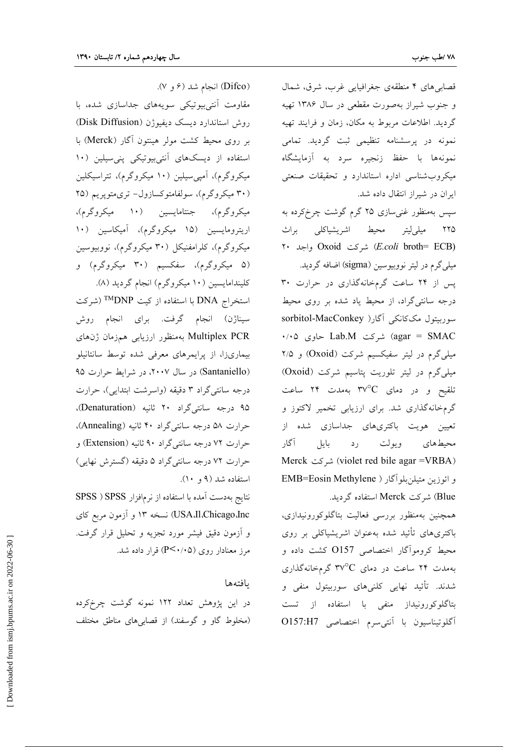(Difco) انجام شد (۶ و ۷).

قصابیهای ۴ منطقهی جغرافیایی غرب، شرق، شمال و جنوب شیراز بهصورت مقطعی در سال ۱۳۸۶ تهیه گردید. اطلاعات مربوط به مکان، زمان و فرایند تهیه نمونه در پرسشنامه تنظیمی ثبت گردید. تمامی نمونهها با حفظ زنجيره سرد به آزمايشگاه میکروب شناسی اداره استاندارد و تحقیقات صنعتی ایران در شیراز انتقال داده شد.

سپس بهمنظور غنی $\omega$ ازی ۲۵ گرم گوشت چرخکرده به ٢٢۵ ميلي[يتر محيط اشريشياكلي براث Y. واجد Oxoid واجد (E.coli broth= ECB) میلیگرم در لیتر نووبیوسین (sigma) اضافه گردید. پس از ٢۴ ساعت گرمخانهگذاری در حرارت ٣٠ درجه سانتی گراد، از محیط یاد شده بر روی محیط سوربیتول مککانکی آگار( sorbitol-MacConkey  $\cdot$ /۰۵ = agar) شركت Lab.M حاوى ۱۰/۰۵ میلی گرم در لیتر سفیکسیم شرکت (Oxoid) و ۲/۵ میلیگرم در لیتر تلوریت پتاسیم شرکت (Oxoid) تلقیح و در دمای ۳۷ $^{\circ}$  بهمدت ۲۴ ساعت گرمخانهگذاری شد. برای ارزیابی تخمیر لاکتوز و تعیین هویت باکتریهای جداسازی شده از رد بایل آگار ويولت محيطهاي (violet red bile agar =VRBA) شركت و ائوزين متيلن بلوآگار ( EMB=Eosin Methylene Blue) شركت Merck استفاده گرديد.

همچنین بهمنظور بررسی فعالیت بتاگلوکورونیدازی، باکتریهای تأئید شده بهعنوان اشریشیاکلی بر روی محیط کروموآگار اختصاصی O157 کشت داده و به مدت ۲۴ ساعت در دمای ۳۷°C گرمخانهگذاری شدند. تأئید نهایی کلنیهای سوربیتول منفی و بتاگلوکورونیداز منفی با استفاده از تست آگلوتيناسيون با آنتي سرم اختصاصي O157:H7

روش استاندارد دیسک دیفیوژن (Disk Diffusion) بر روی محیط کشت مولر هینتون آگار (Merck) با استفاده از دیسکهای آنتیبیوتیکی پنیسیلین (۱۰ میکروگرم)، آمپی سیلین (۱۰ میکروگرم)، تتراسیکلین (۳۰ میکروگرم)، سولفامتوکسازول- تریمتوپریم (۲۵ میکروگرم)، جنتامایسین (۱۰ میکروگرم)، اریترومایسین (۱۵ میکروگرم)، آمیکاسین (۱۰ میکروگرم)، کلرامفنیکل (۳۰ میکروگرم)، نووبیوسین (۵ میکروگرم)، سفکسیم (۳۰ میکروگرم) و کلیندامایسین (۱۰ میکروگرم) انجام گردید (۸). استخراج DNA با استفاده از کیت <sup>TM</sup>DNP (شرکت سیناژن) انجام گرفت. برای انجام روش Multiplex PCR بهمنظور ارزيابي همزمان ژنهاي بیماریزا، از پرایمرهای معرفی شده توسط سانتانیلو (Santaniello) در سال ۲۰۰۷، در شرایط حرارت ۹۵ درجه سانتي گراد ۳ دقيقه (واسرشت ابتدايي)، حرارت ۹۵ درجه سانتی گراد ۲۰ ثانیه (Denaturation)، حرارت ۵۸ درجه سانتیگراد ۴۰ ثانیه (Annealing)، حرارت ٧٢ درجه سانتي گراد ٩٠ ثانيه (Extension) و حرارت ٧٢ درجه سانتي گراد ۵ دقيقه (گسترش نهايي) استفاده شد (۹ و ۱۰).

مقاومت آنتی بیوتیکی سویههای جداسازی شده، با

نتايج بهدست آمده با استفاده از نرمافزار SPSS ( SPSS USA.Il.Chicago.Inc) نسخه ۱۳ و آزمون مربع کای و آزمون دقیق فیشر مورد تجزیه و تحلیل قرار گرفت. مرز معنادار روی (P<۰/۰۵) قرار داده شد.

#### بافتهها

در این پژوهش تعداد ۱۲۲ نمونه گوشت چرخ کرده (مخلوط گاو و گوسفند) از قصابیهای مناطق مختلف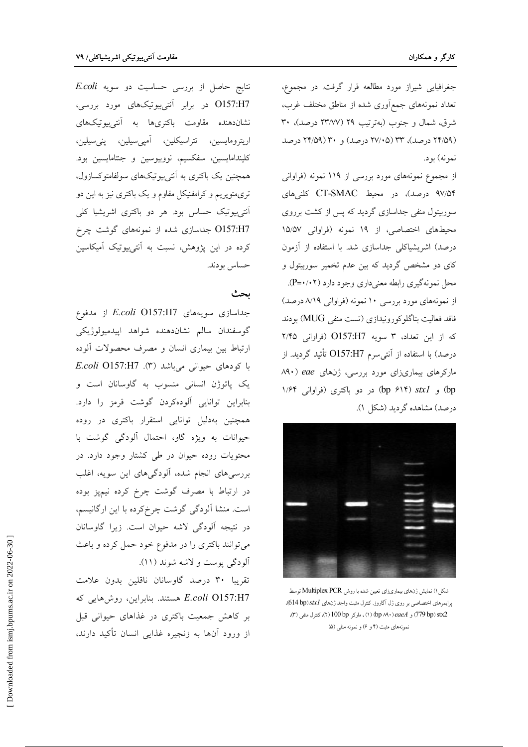جغرافیایی شیراز مورد مطالعه قرار گرفت. در مجموع، تعداد نمونههای جمع|وری شده از مناطق مختلف غرب، شرق، شمال و جنوب (بهترتیب ۲۹ (۲۳/۷۷ درصد)، ۳۰ (۲۴/۵۹ درصد)، ۳۳ (۲۷/۰۵ درصد) و ۳۰ (۲۴/۵۹ درصد نمونه) بود.

از مجموع نمونههای مورد بررسی از ۱۱۹ نمونه (فراوانی ۹۷/۵۴ درصد)، در محیط CT-SMAC کلنیهای سوربیتول منفی جداسازی گردید که پس از کشت برروی محیطهای اختصاصی، از ۱۹ نمونه (فراوانی ۱۵/۵۷ درصد) اشریشیاکلی جداسازی شد. با استفاده از آزمون کای دو مشخص گردید که بین عدم تخمیر سوربیتول و محل نمونهگیری رابطه معنیداری وجود دارد (۲۰۲-ج). از نمونههای مورد بررسی ۱۰ نمونه (فراوانی ۸/۱۹ درصد) فاقد فعاليت بتاگلوكورونيدازي (تست منفي MUG) بودند که از این تعداد، ۳ سویه O157:H7 (فراوانی ۲/۴۵ درصد) با استفاده از آنتی سرم O157:H7 تأئید گردید. از مارکرهای بیماریزای مورد بررسی، ژنهای eae (۸۹۰ 1/۶۴ (۵۲۴ (۵۲۴ ) در دو باکتری (فراوانی ۱/۶۴ ) درصد) مشاهده گردید (شکل ۱).



شكل ١) نمايش ژنهاي بيماريزاي تعيين شده با روش Multiplex PCR توسط پرايمرهاي اختصاصي بر روي ژل آگاروز. كترل مثبت واجد ژنهاي stx1(614 bp))، 779 (779 caeA) و bp ٨٩٠) (١) ، ماركر 100 (٢) ، كترل منفى (٣)، نمونههای مثبت (۴ و ۶) و نمونه منفی (۵)

نتايج حاصل از بررسى حساسيت دو سويه E.coli O157:H7 در برابر آنتی بیوتیکهای مورد بررسی، نشاندهنده مقاومت باکتریها به آنتیبیوتیکهای اريترومايسين، تتراسيكلين، آمپي،سيلين، پني،سيلين، كليندامايسين، سفكسيم، نووبيوسين و جنتامايسين بود. همچنین یک باکتری به آنتیبیوتیکهای سولفامتوکسازول، تریمتوپریم و کرامفنیکل مقاوم و یک باکتری نیز به این دو آنتیبیوتیک حساس بود. هر دو باکتری اشریشیا کل<sub>ی</sub> O157:H7 جداسازی شده از نمونههای گوشت چرخ کرده در این پژوهش، نسبت به آنتیبیوتیک آمیکاسین حساس بودند.

## بحث

جداسازی سویههای E.coli O157:H7 از مدفوع گوسفندان سالم نشاندهنده شواهد اپيدميولوژيكى ارتباط بین بیماری انسان و مصرف محصولات آلوده با كودهاى حيوانى مىباشد (٣). E.coli O157:H7 یک یاتوژن انسانی منسوب به گاوسانان است و بنابراین توانایی آلودهکردن گوشت قرمز را دارد. همچنین بهدلیل توانایی استقرار باکتری در روده حیوانات به ویژه گاو، احتمال آلودگی گوشت با محتویات روده حیوان در طی کشتار وجود دارد. در بررسیهای انجام شده، آلودگیهای این سویه، اغلب در ارتباط با مصرف گوشت چرخ کرده نیمپز بوده است. منشا آلودگی گوشت چرخ کرده با این ارگانیسم، در نتيجه آلودگي لاشه حيوان است. زيرا گاوسانان می توانند باکتری را در مدفوع خود حمل کرده و باعث آلودگی یوست و لاشه شوند (۱۱).

تقریبا ۳۰ درصد گاوسانان ناقلین بدون علامت E.coli O157:H7 هستند. بنابراین، روشهایی که بر کاهش جمعیت باکتری در غذاهای حیوانی قبل از ورود آنها به زنجیره غذایی انسان تأکید دارند،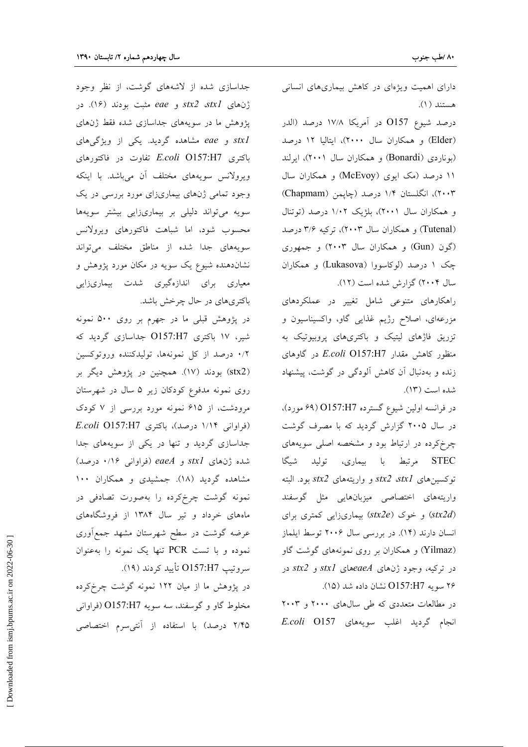دارای اهمیت ویژهای در کاهش بیماریهای انسانی هستند (۱).

درصد شيوع O157 در آمريكا ۱۷/۸ درصد (الدر (Elder) و همکاران سال ۲۰۰۰)، ایتالیا ۱۲ درصد (بوناردی (Bonardi) و همکاران سال ۲۰۰۱)، ایرلند ۱۱ درصد (مک ایوی (McEvoy) و همکاران سال ۲۰۰۳)، انگلستان ۱/۴ درصد (چايمن (Chapmam) و همکاران سال ۲۰۰۱)، بلژیک ۱/۰۲ درصد (توتنال (Tutenal) و همکاران سال ۲۰۰۳)، ترکیه ۳/۶ درصد (گون (Gun) و همکاران سال ۲۰۰۳) و جمهوری چک ۱ درصد (لوکاسووا (Lukasova) و همکاران سال ۲۰۰۴) گزارش شده است (۱۲).

راهکارهای متنوعی شامل تغییر در عملکردهای مزرعهای، اصلاح رژیم غذایی گاو، واکسیناسیون و تزریق فاژهای لیتیک و باکتریهای پروبیوتیک به منظور كاهش مقدار E.coli O157:H7 در گاوهای زنده و بهدنبال آن کاهش آلودگی در گوشت، پیشنهاد شده است (١٣).

در فرانسه اولین شیوع گسترده O157:H7 (۶۹ مورد)، در سال ۲۰۰۵ گزارش گردید که با مصرف گوشت چرخ کرده در ارتباط بود و مشخصه اصلی سویههای STEC مرتبط با بیماری، تولید شیگا توكسين هاى stx2 stx2 و واريتههاى stx2 بود. البته واریتههای اختصاصی میزبانهایی مثل گوسفند (stx2d) و خوک (stx2e) بیماریزایی کمتری برای انسان دارند (١۴). در بررسی سال ۲۰۰۶ توسط ایلماز (Yilmaz) و همکاران بر روی نمونههای گوشت گاو در ترکیه، وجود ژنهای stxlههای stxl و stx2 در ۲۶ سویه O157:H7 نشان داده شد (۱۵).

در مطالعات متعددی که طی سالهای ۲۰۰۰ و ۲۰۰۳ انجام گردید اغلب سویههای E.coli O157

جداسازی شده از لاشههای گوشت، از نظر وجود ژنهای stx2 stx1 و eae مثبت بودند (١۶). در پژوهش ما در سویههای جداسازی شده فقط ژنهای stxl و eae مشاهده گردید. یکی از ویژگیهای  $E. coli$  O157:H7 تفاوت در فاكتورهاى ویرولانس سویههای مختلف آن میباشد. با اینکه وجود تمامی ژنهای بیماریزای مورد بررسی در یک سویه میتواند دلیلی بر بیماریزایی بیشتر سویهها محسوب شود، اما شباهت فاكتورهاي ويرولانس سویههای جدا شده از مناطق مختلف میتواند نشاندهنده شیوع یک سویه در مکان مورد پژوهش و معیاری برای اندازهگیری شدت بیماریزایی باکتریهای در حال چرخش باشد.

در پژوهش قبلی ما در جهرم بر روی ۵۰۰ نمونه شیر، ۱۷ باکتری O157:H7 جداسازی گردید که ۰/۲ درصد از کل نمونهها، تولیدکننده وروتوکسین (stx2) بودند (١٧). همچنین در پژوهش دیگر بر روی نمونه مدفوع کودکان زیر ۵ سال در شهرستان مرودشت، از ۶۱۵ نمونه مورد بررسی از ۷ کودک  $E. coli$  (فراوانی ۱/۱۴ درصد)، باکتری (E.coli O157:H7 جداسازی گردید و تنها در یکی از سویههای جدا شده ژنهای stxl و eaeA (فراوانی ۰/۱۶ درصد) مشاهده گردید (۱۸). جمشیدی و همکاران ۱۰۰ نمونه گوشت چرخ کرده را بهصورت تصادفی در ماههای خرداد و تیر سال ۱۳۸۴ از فروشگاههای عرضه گوشت در سطح شهرستان مشهد جمع آوری نموده و با تست PCR تنها یک نمونه را به عنوان سروتيب O157:H7 تأييد كردند (١٩).

در پژوهش ما از میان ۱۲۲ نمونه گوشت چرخکرده مخلوط گاو و گوسفند، سه سويه O157:H7 (فراواني ۲/۴۵ درصد) با استفاده از آنتی سرم اختصاصی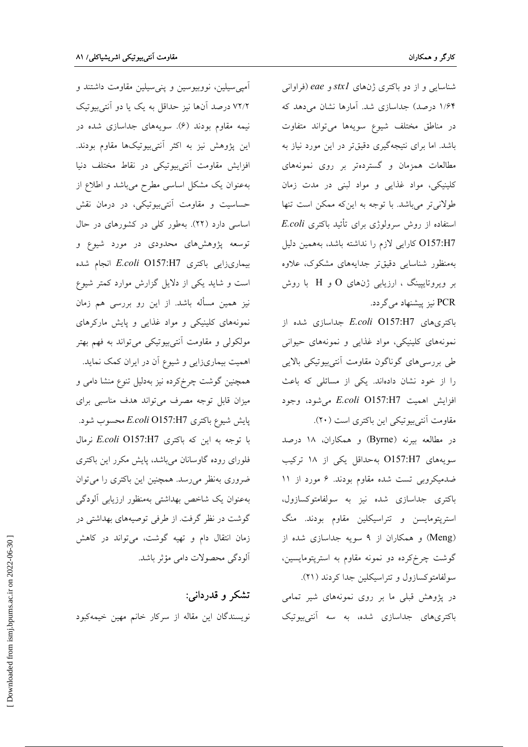شناسایی و از دو باکتری ژنهای stxl و eae (فراوانی ۱/۶۴ درصد) جداسازی شد. آمارها نشان میدهد که در مناطق مختلف شيوع سويهها مى تواند متفاوت باشد. اما برای نتیجهگیری دقیقتر در این مورد نیاز به مطالعات همزمان و گستردهتر بر روی نمونههای کلینیکی، مواد غذایی و مواد لبنی در مدت زمان طولانی تر میباشد. با توجه به اینکه ممکن است تنها  $E. coli$  استفاده از روش سرولوژی برای تأئید باکتری O157:H7 كارايي لازم را نداشته باشد، بههمين دليل بهمنظور شناسايي دقيقتر جدايههاى مشكوك، علاوه بر ویروتایپینگ ، ارزیابی ژنهای  $\mathrm{O}$  و  $\mathrm{H}$  با روش PCR نیز پیشنهاد میگردد.

باکتریهای E.coli O157:H7 جداسازی شده از نمونههای کلینیکی، مواد غذایی و نمونههای حیوانی طی بررسیهای گوناگون مقاومت آنتیبیوتیکی بالایی را از خود نشان دادهاند. یکی از مسائلی که باعث افزايش اهميت E.coli O157:H7 مى شود، وجود مقاومت آنتي بيوتيكي اين باكترى است (٢٠).

در مطالعه بیرنه (Byrne) و همکاران، ۱۸ درصد سويههاي O157:H7 بهحداقل يكي از ١٨ تركيب ضدمیکروبی تست شده مقاوم بودند. ۶ مورد از ۱۱ باکتری جداسازی شده نیز به سولفامتوکسازول، استریتومایسن و تتراسیکلین مقاوم بودند. منگ (Meng) و همکاران از ۹ سویه جداسازی شده از گوشت چرخکرده دو نمونه مقاوم به استریتومایسین، سولفامتوکسازول وتتراسیکلین جدا کردند (۲۱).

در پژوهش قبلی ما بر روی نمونههای شیر تمامی باکتری های جداسازی شده، به سه آنتی بیوتیک

آمپی سیلین، نووبیوسین و پنی سیلین مقاومت داشتند و ٧٢/٢ درصد آنها نيز حداقل به يک يا دو آنتيبيوتيک نیمه مقاوم بودند (۶). سویههای جداسازی شده در این پژوهش نیز به اکثر آنتی بیوتیکها مقاوم بودند. افزایش مقاومت أنتیبیوتیکی در نقاط مختلف دنیا بهعنوان یک مشکل اساسی مطرح میباشد و اطلاع از حساسیت و مقاومت آنتیبیوتیکی، در درمان نقش اساسی دارد (۲۲). بهطور کلی در کشورهای در حال توسعه پژوهشهای محدودی در مورد شیوع و بیماریزایی باکتری E.coli O157:H7 انجام شده است و شاید یکی از دلایل گزارش موارد کمتر شیوع نیز همین مسأله باشد. از این رو بررسی هم زمان نمونههای کلینیکی و مواد غذایی و پایش مارکرهای مولکولی و مقاومت آنتیبیوتیکی میتواند به فهم بهتر اهمیت بیماریزایی و شیوع آن در ایران کمک نماید. همچنین گوشت چرخکرده نیز بهدلیل تنوع منشا دامی و میزان قابل توجه مصرف می تواند هدف مناسبی برای پایش شیوع باکتری E.coli O157:H7 محسوب شود. با توجه به این که باکتری E.coli O157:H7 نرمال فلورای روده گاوسانان میباشد، پایش مکرر این باکتری ضروری بهنظر میرسد. همچنین این باکتری را میتوان بهعنوان يک شاخص بهداشتي بهمنظور ارزيابي ألودگي گوشت در نظر گرفت. از طرفی توصیههای بهداشتی در زمان انتقال دام و تهيه گوشت، مي تواند در كاهش آلودگی محصولات دامی مؤثر باشد.

تشکر و قدردان<sub>ی</sub>: نویسندگان این مقاله از سرکار خانم مهین خیمهکبود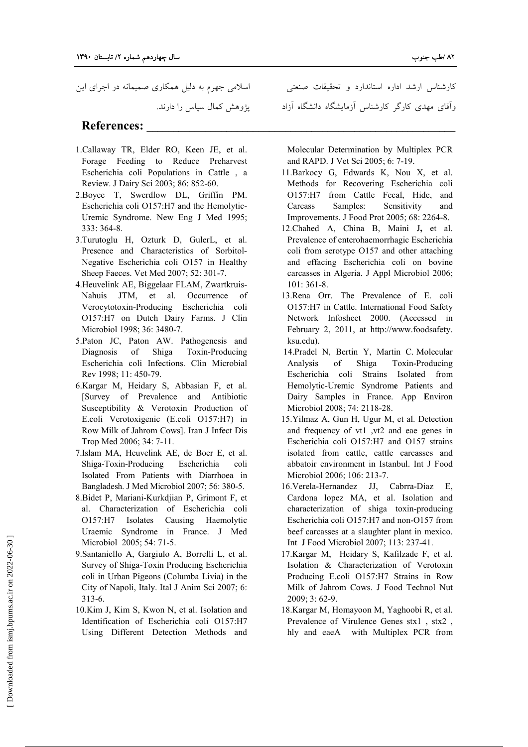اسلامی جهرم به دلیل همکاری صمیمانه در اجرای این یژوهش کمال سیاس را دارند.

## **References:**

- 1.Callaway TR, Elder RO, Keen JE, et al. Forage Feeding to Reduce Preharvest Escherichia coli Populations in Cattle, a Review. J Dairy Sci 2003; 86: 852-60.
- 2. Boyce T, Swerdlow DL, Griffin PM. Escherichia coli O157:H7 and the Hemolytic-Uremic Syndrome. New Eng J Med 1995; 333: 364-8.
- 3. Turutoglu H, Ozturk D, GulerL, et al. Presence and Characteristics of Sorbitol-Negative Escherichia coli O157 in Healthy Sheep Faeces. Vet Med 2007; 52: 301-7.
- 4. Heuvelink AE, Biggelaar FLAM, Zwartkruis-Nahuis JTM, et al. Occurrence of Verocytotoxin-Producing Escherichia coli O157:H7 on Dutch Dairy Farms. J Clin Microbiol 1998; 36: 3480-7.
- 5. Paton JC, Paton AW. Pathogenesis and Diagnosis of Shiga Toxin-Producing Escherichia coli Infections. Clin Microbial Rev 1998; 11: 450-79.
- 6. Kargar M, Heidary S, Abbasian F, et al. [Survey of Prevalence and Antibiotic Susceptibility & Verotoxin Production of E.coli Verotoxigenic (E.coli O157:H7) in Row Milk of Jahrom Cows]. Iran J Infect Dis Trop Med 2006; 34: 7-11.
- 7.Islam MA, Heuvelink AE, de Boer E, et al. Shiga-Toxin-Producing Escherichia coli Isolated From Patients with Diarrhoea in Bangladesh. J Med Microbiol 2007; 56: 380-5.
- 8. Bidet P, Mariani-Kurkdjian P, Grimont F, et al. Characterization of Escherichia coli O157:H7 Isolates Causing Haemolytic Uraemic Syndrome in France. J Med Microbiol 2005; 54: 71-5.
- 9. Santaniello A, Gargiulo A, Borrelli L, et al. Survey of Shiga-Toxin Producing Escherichia coli in Urban Pigeons (Columba Livia) in the City of Napoli, Italy. Ital J Anim Sci 2007; 6:  $313-6.$
- 10.Kim J, Kim S, Kwon N, et al. Isolation and Identification of Escherichia coli O157:H7 Using Different Detection Methods and

کارشناس ارشد اداره استاندارد و تحقیقات صنعتی وآقای مهدی کارگر کارشناس آزمایشگاه دانشگاه آزاد

Molecular Determination by Multiplex PCR and RAPD. J Vet Sci 2005; 6: 7-19.

- 11. Barkocy G, Edwards K, Nou X, et al. Methods for Recovering Escherichia coli O157:H7 from Cattle Fecal, Hide, and Carcass Samples: Sensitivity and Improvements. J Food Prot 2005; 68: 2264-8.
- 12. Chahed A, China B, Maini J, et al. Prevalence of enterohaemorrhagic Escherichia coli from serotype O157 and other attaching and effacing Escherichia coli on bovine carcasses in Algeria. J Appl Microbiol 2006;  $101:361-8.$
- 13. Rena Orr. The Prevalence of E. coli O157:H7 in Cattle. International Food Safety Network Infosheet 2000. (Accessed in February 2, 2011, at http://www.foodsafety. ksu.edu).
- 14. Pradel N, Bertin Y, Martin C. Molecular Analysis of Shiga Toxin-Producing Escherichia coli Strains Isolated from Hemolytic-Uremic Syndrome Patients and Dairy Samples in France. App Environ Microbiol 2008; 74: 2118-28.
- 15. Yilmaz A, Gun H, Ugur M, et al. Detection and frequency of vt1 , vt2 and eae genes in Escherichia coli O157:H7 and O157 strains isolated from cattle, cattle carcasses and abbatoir environment in Istanbul. Int J Food Microbiol 2006; 106: 213-7.
- 16. Verela-Hernandez JJ, Cabrra-Diaz Е. Cardona lopez MA, et al. Isolation and characterization of shiga toxin-producing Escherichia coli O157:H7 and non-O157 from beef carcasses at a slaughter plant in mexico. Int J Food Microbiol 2007; 113: 237-41.
- 17. Kargar M, Heidary S, Kafilzade F, et al. Isolation & Characterization of Verotoxin Producing E.coli O157:H7 Strains in Row Milk of Jahrom Cows. J Food Technol Nut 2009; 3: 62-9.
- 18. Kargar M, Homayoon M, Yaghoobi R, et al. Prevalence of Virulence Genes stx1, stx2, hly and eaeA with Multiplex PCR from